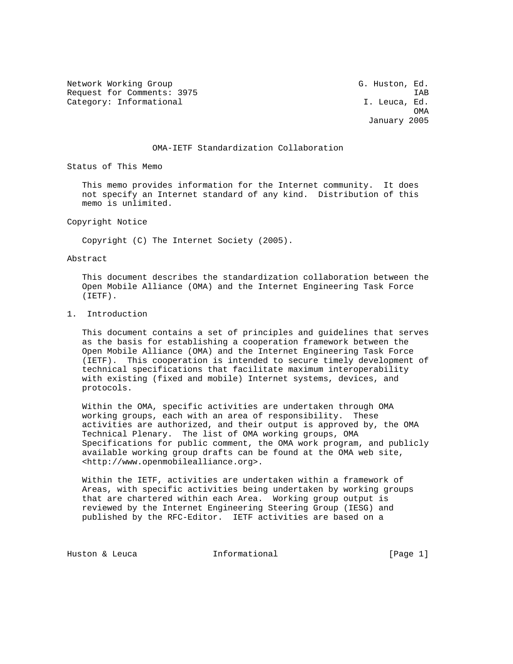Network Working Group G. Huston, Ed. Request for Comments: 3975 IAB Category: Informational and I. Leuca, Ed.

**OMA** January 2005

## OMA-IETF Standardization Collaboration

Status of This Memo

 This memo provides information for the Internet community. It does not specify an Internet standard of any kind. Distribution of this memo is unlimited.

Copyright Notice

Copyright (C) The Internet Society (2005).

Abstract

 This document describes the standardization collaboration between the Open Mobile Alliance (OMA) and the Internet Engineering Task Force (IETF).

## 1. Introduction

 This document contains a set of principles and guidelines that serves as the basis for establishing a cooperation framework between the Open Mobile Alliance (OMA) and the Internet Engineering Task Force (IETF). This cooperation is intended to secure timely development of technical specifications that facilitate maximum interoperability with existing (fixed and mobile) Internet systems, devices, and protocols.

 Within the OMA, specific activities are undertaken through OMA working groups, each with an area of responsibility. These activities are authorized, and their output is approved by, the OMA Technical Plenary. The list of OMA working groups, OMA Specifications for public comment, the OMA work program, and publicly available working group drafts can be found at the OMA web site, <http://www.openmobilealliance.org>.

 Within the IETF, activities are undertaken within a framework of Areas, with specific activities being undertaken by working groups that are chartered within each Area. Working group output is reviewed by the Internet Engineering Steering Group (IESG) and published by the RFC-Editor. IETF activities are based on a

Huston & Leuca **Informational** [Page 1]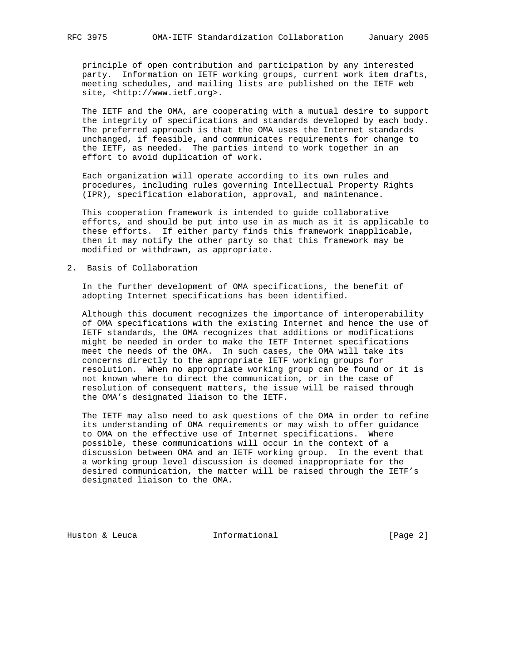principle of open contribution and participation by any interested party. Information on IETF working groups, current work item drafts, meeting schedules, and mailing lists are published on the IETF web site, <http://www.ietf.org>.

 The IETF and the OMA, are cooperating with a mutual desire to support the integrity of specifications and standards developed by each body. The preferred approach is that the OMA uses the Internet standards unchanged, if feasible, and communicates requirements for change to the IETF, as needed. The parties intend to work together in an effort to avoid duplication of work.

 Each organization will operate according to its own rules and procedures, including rules governing Intellectual Property Rights (IPR), specification elaboration, approval, and maintenance.

 This cooperation framework is intended to guide collaborative efforts, and should be put into use in as much as it is applicable to these efforts. If either party finds this framework inapplicable, then it may notify the other party so that this framework may be modified or withdrawn, as appropriate.

2. Basis of Collaboration

 In the further development of OMA specifications, the benefit of adopting Internet specifications has been identified.

 Although this document recognizes the importance of interoperability of OMA specifications with the existing Internet and hence the use of IETF standards, the OMA recognizes that additions or modifications might be needed in order to make the IETF Internet specifications meet the needs of the OMA. In such cases, the OMA will take its concerns directly to the appropriate IETF working groups for resolution. When no appropriate working group can be found or it is not known where to direct the communication, or in the case of resolution of consequent matters, the issue will be raised through the OMA's designated liaison to the IETF.

 The IETF may also need to ask questions of the OMA in order to refine its understanding of OMA requirements or may wish to offer guidance to OMA on the effective use of Internet specifications. Where possible, these communications will occur in the context of a discussion between OMA and an IETF working group. In the event that a working group level discussion is deemed inappropriate for the desired communication, the matter will be raised through the IETF's designated liaison to the OMA.

Huston & Leuca **Informational** [Page 2]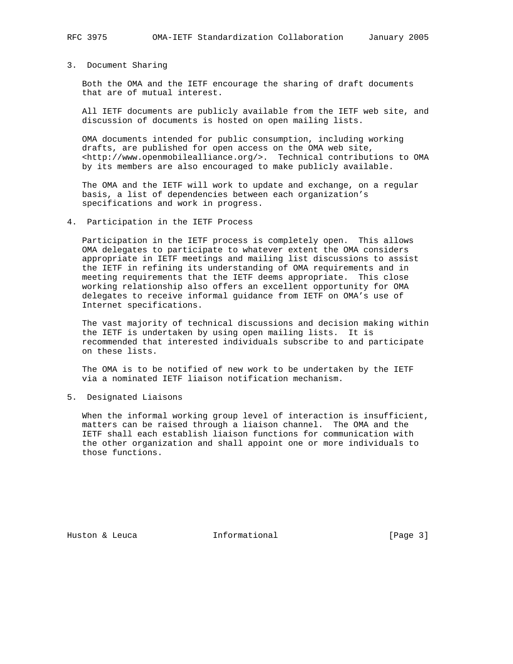## 3. Document Sharing

 Both the OMA and the IETF encourage the sharing of draft documents that are of mutual interest.

 All IETF documents are publicly available from the IETF web site, and discussion of documents is hosted on open mailing lists.

 OMA documents intended for public consumption, including working drafts, are published for open access on the OMA web site, <http://www.openmobilealliance.org/>. Technical contributions to OMA by its members are also encouraged to make publicly available.

 The OMA and the IETF will work to update and exchange, on a regular basis, a list of dependencies between each organization's specifications and work in progress.

#### 4. Participation in the IETF Process

 Participation in the IETF process is completely open. This allows OMA delegates to participate to whatever extent the OMA considers appropriate in IETF meetings and mailing list discussions to assist the IETF in refining its understanding of OMA requirements and in meeting requirements that the IETF deems appropriate. This close working relationship also offers an excellent opportunity for OMA delegates to receive informal guidance from IETF on OMA's use of Internet specifications.

 The vast majority of technical discussions and decision making within the IETF is undertaken by using open mailing lists. It is recommended that interested individuals subscribe to and participate on these lists.

 The OMA is to be notified of new work to be undertaken by the IETF via a nominated IETF liaison notification mechanism.

5. Designated Liaisons

 When the informal working group level of interaction is insufficient, matters can be raised through a liaison channel. The OMA and the IETF shall each establish liaison functions for communication with the other organization and shall appoint one or more individuals to those functions.

Huston & Leuca **Informational** [Page 3]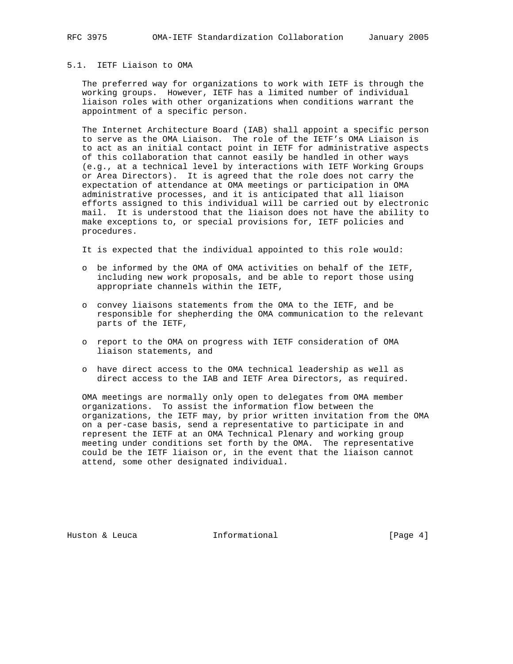## 5.1. IETF Liaison to OMA

 The preferred way for organizations to work with IETF is through the working groups. However, IETF has a limited number of individual liaison roles with other organizations when conditions warrant the appointment of a specific person.

 The Internet Architecture Board (IAB) shall appoint a specific person to serve as the OMA Liaison. The role of the IETF's OMA Liaison is to act as an initial contact point in IETF for administrative aspects of this collaboration that cannot easily be handled in other ways (e.g., at a technical level by interactions with IETF Working Groups or Area Directors). It is agreed that the role does not carry the expectation of attendance at OMA meetings or participation in OMA administrative processes, and it is anticipated that all liaison efforts assigned to this individual will be carried out by electronic mail. It is understood that the liaison does not have the ability to make exceptions to, or special provisions for, IETF policies and procedures.

It is expected that the individual appointed to this role would:

- o be informed by the OMA of OMA activities on behalf of the IETF, including new work proposals, and be able to report those using appropriate channels within the IETF,
- o convey liaisons statements from the OMA to the IETF, and be responsible for shepherding the OMA communication to the relevant parts of the IETF,
- o report to the OMA on progress with IETF consideration of OMA liaison statements, and
- o have direct access to the OMA technical leadership as well as direct access to the IAB and IETF Area Directors, as required.

 OMA meetings are normally only open to delegates from OMA member organizations. To assist the information flow between the organizations, the IETF may, by prior written invitation from the OMA on a per-case basis, send a representative to participate in and represent the IETF at an OMA Technical Plenary and working group meeting under conditions set forth by the OMA. The representative could be the IETF liaison or, in the event that the liaison cannot attend, some other designated individual.

Huston & Leuca **Informational** [Page 4]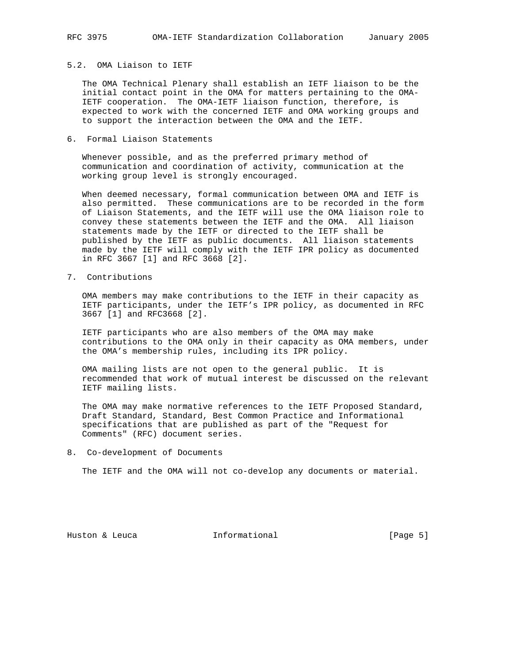# 5.2. OMA Liaison to IETF

 The OMA Technical Plenary shall establish an IETF liaison to be the initial contact point in the OMA for matters pertaining to the OMA- IETF cooperation. The OMA-IETF liaison function, therefore, is expected to work with the concerned IETF and OMA working groups and to support the interaction between the OMA and the IETF.

6. Formal Liaison Statements

 Whenever possible, and as the preferred primary method of communication and coordination of activity, communication at the working group level is strongly encouraged.

 When deemed necessary, formal communication between OMA and IETF is also permitted. These communications are to be recorded in the form of Liaison Statements, and the IETF will use the OMA liaison role to convey these statements between the IETF and the OMA. All liaison statements made by the IETF or directed to the IETF shall be published by the IETF as public documents. All liaison statements made by the IETF will comply with the IETF IPR policy as documented in RFC 3667 [1] and RFC 3668 [2].

7. Contributions

 OMA members may make contributions to the IETF in their capacity as IETF participants, under the IETF's IPR policy, as documented in RFC 3667 [1] and RFC3668 [2].

 IETF participants who are also members of the OMA may make contributions to the OMA only in their capacity as OMA members, under the OMA's membership rules, including its IPR policy.

 OMA mailing lists are not open to the general public. It is recommended that work of mutual interest be discussed on the relevant IETF mailing lists.

 The OMA may make normative references to the IETF Proposed Standard, Draft Standard, Standard, Best Common Practice and Informational specifications that are published as part of the "Request for Comments" (RFC) document series.

8. Co-development of Documents

The IETF and the OMA will not co-develop any documents or material.

Huston & Leuca **Informational** [Page 5]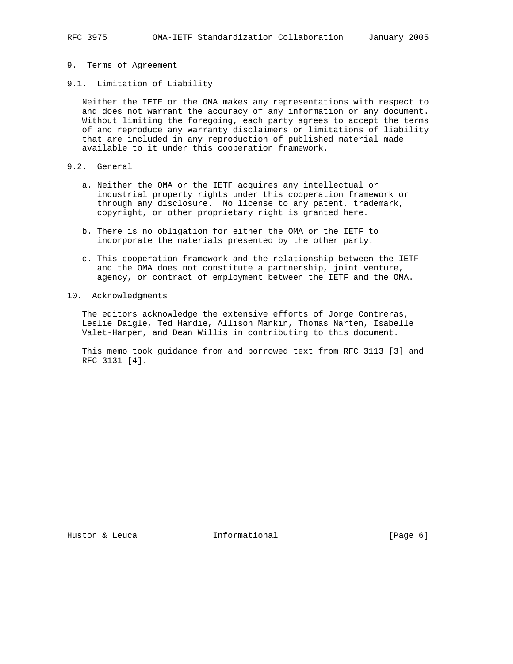- 9. Terms of Agreement
- 9.1. Limitation of Liability

 Neither the IETF or the OMA makes any representations with respect to and does not warrant the accuracy of any information or any document. Without limiting the foregoing, each party agrees to accept the terms of and reproduce any warranty disclaimers or limitations of liability that are included in any reproduction of published material made available to it under this cooperation framework.

- 9.2. General
	- a. Neither the OMA or the IETF acquires any intellectual or industrial property rights under this cooperation framework or through any disclosure. No license to any patent, trademark, copyright, or other proprietary right is granted here.
	- b. There is no obligation for either the OMA or the IETF to incorporate the materials presented by the other party.
	- c. This cooperation framework and the relationship between the IETF and the OMA does not constitute a partnership, joint venture, agency, or contract of employment between the IETF and the OMA.
- 10. Acknowledgments

 The editors acknowledge the extensive efforts of Jorge Contreras, Leslie Daigle, Ted Hardie, Allison Mankin, Thomas Narten, Isabelle Valet-Harper, and Dean Willis in contributing to this document.

 This memo took guidance from and borrowed text from RFC 3113 [3] and RFC 3131 [4].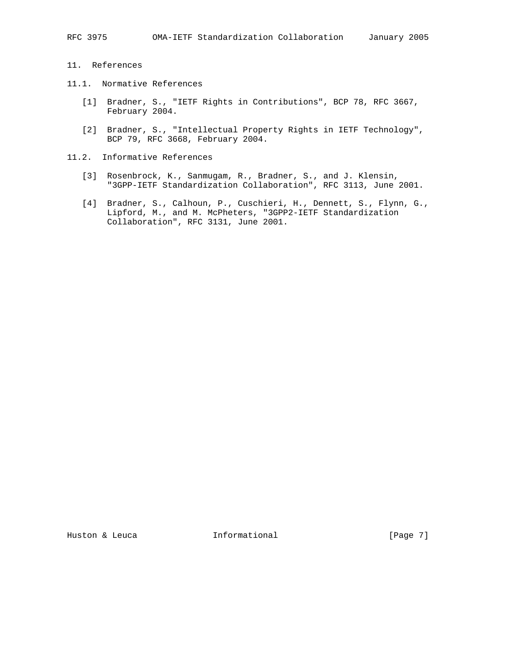- 11. References
- 11.1. Normative References
	- [1] Bradner, S., "IETF Rights in Contributions", BCP 78, RFC 3667, February 2004.
	- [2] Bradner, S., "Intellectual Property Rights in IETF Technology", BCP 79, RFC 3668, February 2004.
- 11.2. Informative References
	- [3] Rosenbrock, K., Sanmugam, R., Bradner, S., and J. Klensin, "3GPP-IETF Standardization Collaboration", RFC 3113, June 2001.
	- [4] Bradner, S., Calhoun, P., Cuschieri, H., Dennett, S., Flynn, G., Lipford, M., and M. McPheters, "3GPP2-IETF Standardization Collaboration", RFC 3131, June 2001.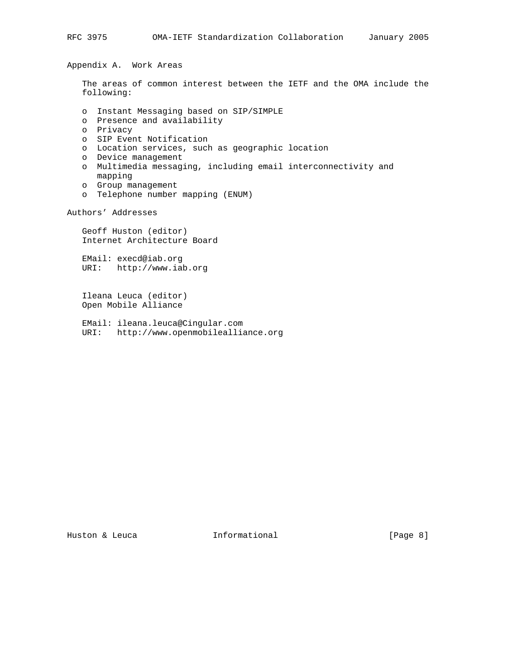Appendix A. Work Areas

 The areas of common interest between the IETF and the OMA include the following:

- o Instant Messaging based on SIP/SIMPLE
- o Presence and availability
- o Privacy
- o SIP Event Notification
- o Location services, such as geographic location
- o Device management
- o Multimedia messaging, including email interconnectivity and mapping
- o Group management
- o Telephone number mapping (ENUM)

Authors' Addresses

 Geoff Huston (editor) Internet Architecture Board

 EMail: execd@iab.org URI: http://www.iab.org

 Ileana Leuca (editor) Open Mobile Alliance

 EMail: ileana.leuca@Cingular.com URI: http://www.openmobilealliance.org